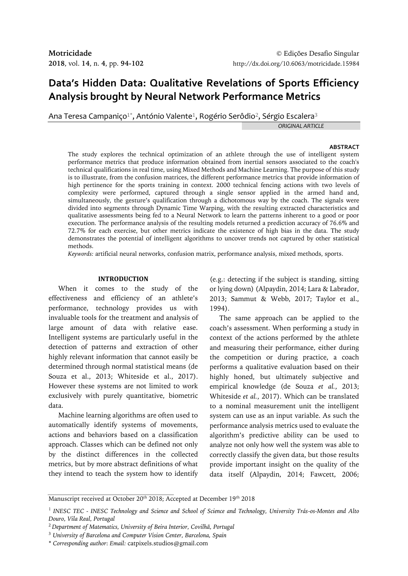# **Data's Hidden Data: Qualitative Revelations of Sports Efficiency Analysis brought by Neural Network Performance Metrics**

Ana Teresa Campaniço $^{1*}$ , António Valente $^{1}$ , Rogério Serôdio $^{2}$ , Sérgio Escalera $^{3}$ 

*ORIGINAL ARTICLE*

### **ABSTRACT**

The study explores the technical optimization of an athlete through the use of intelligent system performance metrics that produce information obtained from inertial sensors associated to the coach's technical qualifications in real time, using Mixed Methods and Machine Learning. The purpose of this study is to illustrate, from the confusion matrices, the different performance metrics that provide information of high pertinence for the sports training in context. 2000 technical fencing actions with two levels of complexity were performed, captured through a single sensor applied in the armed hand and, simultaneously, the gesture's qualification through a dichotomous way by the coach. The signals were divided into segments through Dynamic Time Warping, with the resulting extracted characteristics and qualitative assessments being fed to a Neural Network to learn the patterns inherent to a good or poor execution. The performance analysis of the resulting models returned a prediction accuracy of 76.6% and 72.7% for each exercise, but other metrics indicate the existence of high bias in the data. The study demonstrates the potential of intelligent algorithms to uncover trends not captured by other statistical methods.

*Keywords:* artificial neural networks, confusion matrix, performance analysis, mixed methods, sports.

### **INTRODUCTION**

When it comes to the study of the effectiveness and efficiency of an athlete's performance, technology provides us with invaluable tools for the treatment and analysis of large amount of data with relative ease. Intelligent systems are particularly useful in the detection of patterns and extraction of other highly relevant information that cannot easily be determined through normal statistical means (de Souza et al., 2013; Whiteside et al., 2017). However these systems are not limited to work exclusively with purely quantitative, biometric data.

Machine learning algorithms are often used to automatically identify systems of movements, actions and behaviors based on a classification approach. Classes which can be defined not only by the distinct differences in the collected metrics, but by more abstract definitions of what they intend to teach the system how to identify

(e.g.: detecting if the subject is standing, sitting or lying down) (Alpaydin, 2014; Lara & Labrador, 2013; Sammut & Webb, 2017; Taylor et al., 1994).

The same approach can be applied to the coach's assessment. When performing a study in context of the actions performed by the athlete and measuring their performance, either during the competition or during practice, a coach performs a qualitative evaluation based on their highly honed, but ultimately subjective and empirical knowledge (de Souza *et al.*, 2013; Whiteside *et al.*, 2017). Which can be translated to a nominal measurement unit the intelligent system can use as an input variable. As such the performance analysis metrics used to evaluate the algorithm's predictive ability can be used to analyze not only how well the system was able to correctly classify the given data, but those results provide important insight on the quality of the data itself (Alpaydin, 2014; Fawcett, 2006;

Manuscript received at October 20<sup>th</sup> 2018; Accepted at December 19<sup>th</sup> 2018

<sup>1</sup> *INESC TEC - INESC Technology and Science and School of Science and Technology, University Trás-os-Montes and Alto Douro, Vila Real, Portugal*

<sup>2</sup>*Department of Matematics, University of Beira Interior, Covilhã, Portugal*

<sup>3</sup> *University of Barcelona and Computer Vision Center, Barcelona, Spain*

<sup>\*</sup> *Corresponding author*: *Email:* catpixels.studios@gmail.com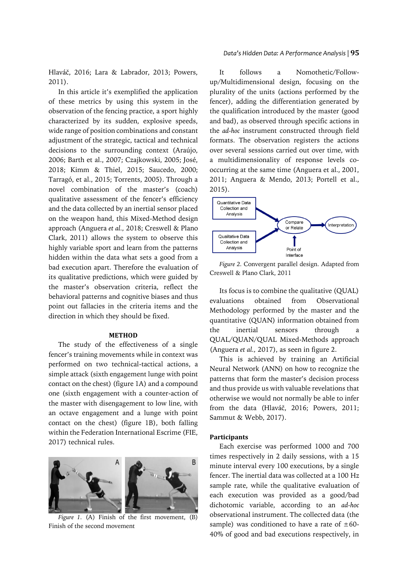Hlaváč, 2016; Lara & Labrador, 2013; Powers, 2011).

In this article it's exemplified the application of these metrics by using this system in the observation of the fencing practice, a sport highly characterized by its sudden, explosive speeds, wide range of position combinations and constant adjustment of the strategic, tactical and technical decisions to the surrounding context (Araújo, 2006; Barth et al., 2007; Czajkowski, 2005; José, 2018; Kimm & Thiel, 2015; Saucedo, 2000; Tarragó, et al., 2015; Torrents, 2005). Through a novel combination of the master's (coach) qualitative assessment of the fencer's efficiency and the data collected by an inertial sensor placed on the weapon hand, this Mixed-Method design approach (Anguera *et al.,* 2018; Creswell & Plano Clark, 2011) allows the system to observe this highly variable sport and learn from the patterns hidden within the data what sets a good from a bad execution apart. Therefore the evaluation of its qualitative predictions, which were guided by the master's observation criteria, reflect the behavioral patterns and cognitive biases and thus point out fallacies in the criteria items and the direction in which they should be fixed.

### **METHOD**

The study of the effectiveness of a single fencer's training movements while in context was performed on two technical-tactical actions, a simple attack (sixth engagement lunge with point contact on the chest) (figure 1A) and a compound one (sixth engagement with a counter-action of the master with disengagement to low line, with an octave engagement and a lunge with point contact on the chest) (figure 1B), both falling within the Federation International Escrime (FIE, 2017) technical rules.



*Figure 1.* (A) Finish of the first movement, (B) Finish of the second movement

It follows a Nomothetic/Followup/Multidimensional design, focusing on the plurality of the units (actions performed by the fencer), adding the differentiation generated by the qualification introduced by the master (good and bad), as observed through specific actions in the *ad-hoc* instrument constructed through field formats. The observation registers the actions over several sessions carried out over time, with a multidimensionality of response levels cooccurring at the same time (Anguera et al., 2001, 2011; Anguera & Mendo, 2013; Portell et al., 2015).



*Figure 2.* Convergent parallel design. Adapted from Creswell & Plano Clark, 2011

Its focus is to combine the qualitative (QUAL) evaluations obtained from Observational Methodology performed by the master and the quantitative (QUAN) information obtained from the inertial sensors through QUAL/QUAN/QUAL Mixed-Methods approach (Anguera *et al.,* 2017), as seen in figure 2.

This is achieved by training an Artificial Neural Network (ANN) on how to recognize the patterns that form the master's decision process and thus provide us with valuable revelations that otherwise we would not normally be able to infer from the data (Hlaváč, 2016; Powers, 2011; Sammut & Webb, 2017).

### **Participants**

Each exercise was performed 1000 and 700 times respectively in 2 daily sessions, with a 15 minute interval every 100 executions, by a single fencer. The inertial data was collected at a 100 Hz sample rate, while the qualitative evaluation of each execution was provided as a good/bad dichotomic variable, according to an *ad-hoc* observational instrument. The collected data (the sample) was conditioned to have a rate of  $\pm 60$ -40% of good and bad executions respectively, in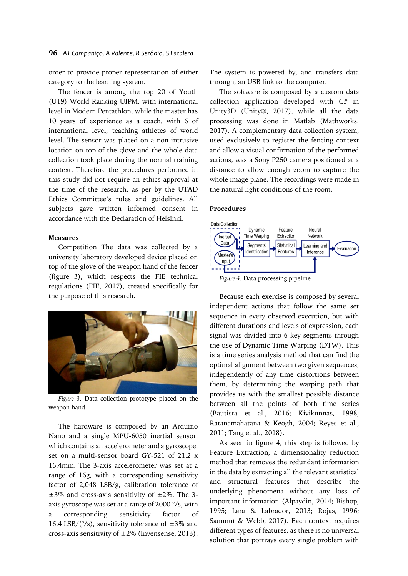order to provide proper representation of either category to the learning system.

The fencer is among the top 20 of Youth (U19) World Ranking UIPM, with international level in Modern Pentathlon, while the master has 10 years of experience as a coach, with 6 of international level, teaching athletes of world level. The sensor was placed on a non-intrusive location on top of the glove and the whole data collection took place during the normal training context. Therefore the procedures performed in this study did not require an ethics approval at the time of the research, as per by the UTAD Ethics Committee's rules and guidelines. All subjects gave written informed consent in accordance with the Declaration of Helsinki.

# **Measures**

Competition The data was collected by a university laboratory developed device placed on top of the glove of the weapon hand of the fencer (figure 3), which respects the FIE technical regulations (FIE, 2017), created specifically for the purpose of this research.



*Figure 3.* Data collection prototype placed on the weapon hand

The hardware is composed by an Arduino Nano and a single MPU-6050 inertial sensor, which contains an accelerometer and a gyroscope, set on a multi-sensor board GY-521 of 21.2 x 16.4mm. The 3-axis accelerometer was set at a range of 16g, with a corresponding sensitivity factor of 2,048 LSB/g, calibration tolerance of  $\pm$ 3% and cross-axis sensitivity of  $\pm$ 2%. The 3axis gyroscope was set at a range of 2000 °/s, with a corresponding sensitivity factor of 16.4 LSB/( $\degree$ /s), sensitivity tolerance of  $\pm 3\%$  and cross-axis sensitivity of  $\pm 2\%$  (Invensense, 2013).

The system is powered by, and transfers data through, an USB link to the computer.

The software is composed by a custom data collection application developed with C# in Unity3D (Unity®, 2017), while all the data processing was done in Matlab (Mathworks, 2017). A complementary data collection system, used exclusively to register the fencing context and allow a visual confirmation of the performed actions, was a Sony P250 camera positioned at a distance to allow enough zoom to capture the whole image plane. The recordings were made in the natural light conditions of the room.

# **Procedures**



*Figure 4.* Data processing pipeline

Because each exercise is composed by several independent actions that follow the same set sequence in every observed execution, but with different durations and levels of expression, each signal was divided into 6 key segments through the use of Dynamic Time Warping (DTW). This is a time series analysis method that can find the optimal alignment between two given sequences, independently of any time distortions between them, by determining the warping path that provides us with the smallest possible distance between all the points of both time series (Bautista et al., 2016; Kivikunnas, 1998; Ratanamahatana & Keogh, 2004; Reyes et al., 2011; Tang et al., 2018).

As seen in figure 4, this step is followed by Feature Extraction, a dimensionality reduction method that removes the redundant information in the data by extracting all the relevant statistical and structural features that describe the underlying phenomena without any loss of important information (Alpaydin, 2014; Bishop, 1995; Lara & Labrador, 2013; Rojas, 1996; Sammut & Webb, 2017). Each context requires different types of features, as there is no universal solution that portrays every single problem with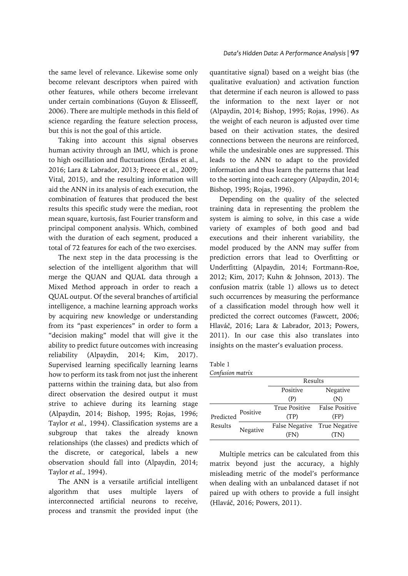the same level of relevance. Likewise some only become relevant descriptors when paired with other features, while others become irrelevant under certain combinations (Guyon & Elisseeff, 2006). There are multiple methods in this field of science regarding the feature selection process, but this is not the goal of this article.

Taking into account this signal observes human activity through an IMU, which is prone to high oscillation and fluctuations (Erdas et al., 2016; Lara & Labrador, 2013; Preece et al., 2009; Vital, 2015), and the resulting information will aid the ANN in its analysis of each execution, the combination of features that produced the best results this specific study were the median, root mean square, kurtosis, fast Fourier transform and principal component analysis. Which, combined with the duration of each segment, produced a total of 72 features for each of the two exercises.

The next step in the data processing is the selection of the intelligent algorithm that will merge the QUAN and QUAL data through a Mixed Method approach in order to reach a QUAL output. Of the several branches of artificial intelligence, a machine learning approach works by acquiring new knowledge or understanding from its "past experiences" in order to form a "decision making" model that will give it the ability to predict future outcomes with increasing reliability (Alpaydin, 2014; Kim, 2017). Supervised learning specifically learning learns how to perform its task from not just the inherent patterns within the training data, but also from direct observation the desired output it must strive to achieve during its learning stage (Alpaydin, 2014; Bishop, 1995; Rojas, 1996; Taylor *et al.,* 1994). Classification systems are a subgroup that takes the already known relationships (the classes) and predicts which of the discrete, or categorical, labels a new observation should fall into (Alpaydin, 2014; Taylor *et al.,* 1994).

The ANN is a versatile artificial intelligent algorithm that uses multiple layers of interconnected artificial neurons to receive, process and transmit the provided input (the

quantitative signal) based on a weight bias (the qualitative evaluation) and activation function that determine if each neuron is allowed to pass the information to the next layer or not (Alpaydin, 2014; Bishop, 1995; Rojas, 1996). As the weight of each neuron is adjusted over time based on their activation states, the desired connections between the neurons are reinforced, while the undesirable ones are suppressed. This leads to the ANN to adapt to the provided information and thus learn the patterns that lead to the sorting into each category (Alpaydin, 2014; Bishop, 1995; Rojas, 1996).

Depending on the quality of the selected training data in representing the problem the system is aiming to solve, in this case a wide variety of examples of both good and bad executions and their inherent variability, the model produced by the ANN may suffer from prediction errors that lead to Overfitting or Underfitting (Alpaydin, 2014; Fortmann-Roe, 2012; Kim, 2017; Kuhn & Johnson, 2013). The confusion matrix (table 1) allows us to detect such occurrences by measuring the performance of a classification model through how well it predicted the correct outcomes (Fawcett, 2006; Hlaváč, 2016; Lara & Labrador, 2013; Powers, 2011). In our case this also translates into insights on the master's evaluation process.

| Table 1     |  |
|-------------|--|
| $C = 0.000$ |  |

|                      | Confusion matrix<br>Results |                      |                       |
|----------------------|-----------------------------|----------------------|-----------------------|
|                      |                             |                      |                       |
|                      |                             | Positive             | Negative              |
|                      |                             | (P)                  | (N)                   |
| Predicted<br>Results | Positive                    | <b>True Positive</b> | <b>False Positive</b> |
|                      |                             | (TP)                 | (FP)                  |
|                      | Negative                    | False Negative       | True Negative         |
|                      |                             | (FN)                 | (TN)                  |

Multiple metrics can be calculated from this matrix beyond just the accuracy, a highly misleading metric of the model's performance when dealing with an unbalanced dataset if not paired up with others to provide a full insight (Hlaváč, 2016; Powers, 2011).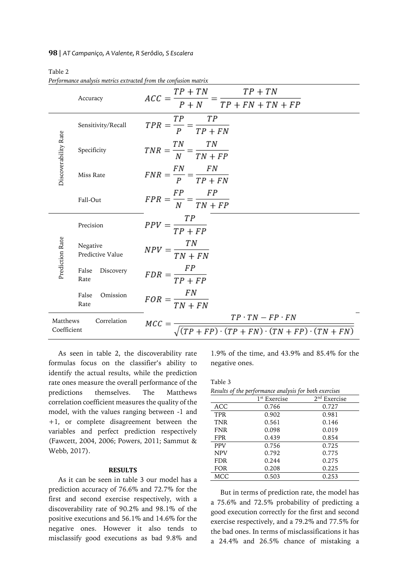### **98** | *AT Campaniço, A Valente, R Serôdio, S Escalera*

# Table 2

*Performance analysis metrics extracted from the confusion matrix*

|                                                                                                                                                    | Accuracy                     | $\frac{TP + TN}{P + N} = \frac{TP + TN}{TP + FN + TN + FP}$<br>$ACC =$ |  |
|----------------------------------------------------------------------------------------------------------------------------------------------------|------------------------------|------------------------------------------------------------------------|--|
|                                                                                                                                                    | Sensitivity/Recall           | TP<br>TР<br>$TPR = \frac{p}{p} = \frac{TP + FN}{TP + FN}$              |  |
| Discoverability Rate                                                                                                                               | Specificity                  | $TNR = \frac{TN}{N} = \frac{TN}{TN + FP}$                              |  |
|                                                                                                                                                    | Miss Rate                    | $FNR = \frac{FN}{P} = \frac{FN}{TP + FN}$                              |  |
|                                                                                                                                                    | Fall-Out                     | $FPR = \frac{FP}{N} = \frac{FP}{TN + FP}$                              |  |
|                                                                                                                                                    | Precision                    | $PPV = \frac{TP}{TP + FP}$                                             |  |
| Prediction Rate                                                                                                                                    | Negative<br>Predictive Value | $NPV = \frac{TN}{TN + FN}$                                             |  |
|                                                                                                                                                    | False<br>Discovery<br>Rate   | $FDR = \frac{FP}{TP + FP}$                                             |  |
|                                                                                                                                                    | False<br>Omission<br>Rate    | $FOR = \frac{FN}{TN + FN}$                                             |  |
| $\frac{TP \cdot TN - FP \cdot FN}{(TP + FP) \cdot (TP + FN) \cdot (TN + FP) \cdot (TN + FN)}$<br>Correlation<br>Matthews<br>$MCC =$<br>Coefficient |                              |                                                                        |  |

As seen in table 2, the discoverability rate formulas focus on the classifier's ability to identify the actual results, while the prediction rate ones measure the overall performance of the predictions themselves. The Matthews correlation coefficient measures the quality of the model, with the values ranging between -1 and +1, or complete disagreement between the variables and perfect prediction respectively (Fawcett, 2004, 2006; Powers, 2011; Sammut & Webb, 2017).

# **RESULTS**

As it can be seen in table 3 our model has a prediction accuracy of 76.6% and 72.7% for the first and second exercise respectively, with a discoverability rate of 90.2% and 98.1% of the positive executions and 56.1% and 14.6% for the negative ones. However it also tends to misclassify good executions as bad 9.8% and

1.9% of the time, and 43.9% and 85.4% for the negative ones.

|--|--|

| Results of the performance analysis for both exercises |                          |                |  |
|--------------------------------------------------------|--------------------------|----------------|--|
|                                                        | 1 <sup>st</sup> Exercise | $2nd$ Exercise |  |
| ACC                                                    | 0.766                    | 0.727          |  |
| <b>TPR</b>                                             | 0.902                    | 0.981          |  |
| <b>TNR</b>                                             | 0.561                    | 0.146          |  |
| <b>FNR</b>                                             | 0.098                    | 0.019          |  |
| <b>FPR</b>                                             | 0.439                    | 0.854          |  |
| <b>PPV</b>                                             | 0.756                    | 0.725          |  |
| <b>NPV</b>                                             | 0.792                    | 0.775          |  |
| <b>FDR</b>                                             | 0.244                    | 0.275          |  |
| <b>FOR</b>                                             | 0.208                    | 0.225          |  |
| MCC                                                    | 0.503                    | 0.253          |  |

But in terms of prediction rate, the model has a 75.6% and 72.5% probability of predicting a good execution correctly for the first and second exercise respectively, and a 79.2% and 77.5% for the bad ones. In terms of misclassifications it has a 24.4% and 26.5% chance of mistaking a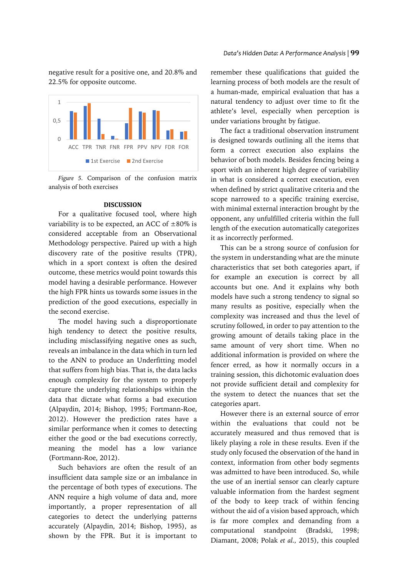negative result for a positive one, and 20.8% and 22.5% for opposite outcome.



*Figure 5.* Comparison of the confusion matrix analysis of both exercises

### **DISCUSSION**

For a qualitative focused tool, where high variability is to be expected, an ACC of  $\pm 80\%$  is considered acceptable from an Observational Methodology perspective. Paired up with a high discovery rate of the positive results (TPR), which in a sport context is often the desired outcome, these metrics would point towards this model having a desirable performance. However the high FPR hints us towards some issues in the prediction of the good executions, especially in the second exercise.

The model having such a disproportionate high tendency to detect the positive results, including misclassifying negative ones as such, reveals an imbalance in the data which in turn led to the ANN to produce an Underfitting model that suffers from high bias. That is, the data lacks enough complexity for the system to properly capture the underlying relationships within the data that dictate what forms a bad execution (Alpaydin, 2014; Bishop, 1995; Fortmann-Roe, 2012). However the prediction rates have a similar performance when it comes to detecting either the good or the bad executions correctly, meaning the model has a low variance (Fortmann-Roe, 2012).

Such behaviors are often the result of an insufficient data sample size or an imbalance in the percentage of both types of executions. The ANN require a high volume of data and, more importantly, a proper representation of all categories to detect the underlying patterns accurately (Alpaydin, 2014; Bishop, 1995), as shown by the FPR. But it is important to

remember these qualifications that guided the learning process of both models are the result of a human-made, empirical evaluation that has a natural tendency to adjust over time to fit the athlete's level, especially when perception is under variations brought by fatigue.

The fact a traditional observation instrument is designed towards outlining all the items that form a correct execution also explains the behavior of both models. Besides fencing being a sport with an inherent high degree of variability in what is considered a correct execution, even when defined by strict qualitative criteria and the scope narrowed to a specific training exercise, with minimal external interaction brought by the opponent, any unfulfilled criteria within the full length of the execution automatically categorizes it as incorrectly performed.

This can be a strong source of confusion for the system in understanding what are the minute characteristics that set both categories apart, if for example an execution is correct by all accounts but one. And it explains why both models have such a strong tendency to signal so many results as positive, especially when the complexity was increased and thus the level of scrutiny followed, in order to pay attention to the growing amount of details taking place in the same amount of very short time. When no additional information is provided on where the fencer erred, as how it normally occurs in a training session, this dichotomic evaluation does not provide sufficient detail and complexity for the system to detect the nuances that set the categories apart.

However there is an external source of error within the evaluations that could not be accurately measured and thus removed that is likely playing a role in these results. Even if the study only focused the observation of the hand in context, information from other body segments was admitted to have been introduced. So, while the use of an inertial sensor can clearly capture valuable information from the hardest segment of the body to keep track of within fencing without the aid of a vision based approach, which is far more complex and demanding from a computational standpoint (Bradski, 1998; Diamant, 2008; Polak *et al.,* 2015), this coupled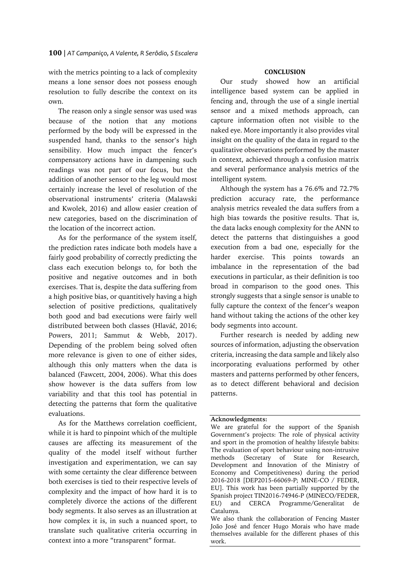### **100** | *AT Campaniço, A Valente, R Serôdio, S Escalera*

with the metrics pointing to a lack of complexity means a lone sensor does not possess enough resolution to fully describe the context on its own.

The reason only a single sensor was used was because of the notion that any motions performed by the body will be expressed in the suspended hand, thanks to the sensor's high sensibility. How much impact the fencer's compensatory actions have in dampening such readings was not part of our focus, but the addition of another sensor to the leg would most certainly increase the level of resolution of the observational instruments' criteria (Malawski and Kwolek, 2016) and allow easier creation of new categories, based on the discrimination of the location of the incorrect action.

As for the performance of the system itself, the prediction rates indicate both models have a fairly good probability of correctly predicting the class each execution belongs to, for both the positive and negative outcomes and in both exercises. That is, despite the data suffering from a high positive bias, or quantitively having a high selection of positive predictions, qualitatively both good and bad executions were fairly well distributed between both classes (Hlaváč, 2016; Powers, 2011; Sammut & Webb, 2017). Depending of the problem being solved often more relevance is given to one of either sides, although this only matters when the data is balanced (Fawcett, 2004, 2006). What this does show however is the data suffers from low variability and that this tool has potential in detecting the patterns that form the qualitative evaluations.

As for the Matthews correlation coefficient, while it is hard to pinpoint which of the multiple causes are affecting its measurement of the quality of the model itself without further investigation and experimentation, we can say with some certainty the clear difference between both exercises is tied to their respective levels of complexity and the impact of how hard it is to completely divorce the actions of the different body segments. It also serves as an illustration at how complex it is, in such a nuanced sport, to translate such qualitative criteria occurring in context into a more "transparent" format.

# **CONCLUSION**

Our study showed how an artificial intelligence based system can be applied in fencing and, through the use of a single inertial sensor and a mixed methods approach, can capture information often not visible to the naked eye. More importantly it also provides vital insight on the quality of the data in regard to the qualitative observations performed by the master in context, achieved through a confusion matrix and several performance analysis metrics of the intelligent system.

Although the system has a 76.6% and 72.7% prediction accuracy rate, the performance analysis metrics revealed the data suffers from a high bias towards the positive results. That is, the data lacks enough complexity for the ANN to detect the patterns that distinguishes a good execution from a bad one, especially for the harder exercise. This points towards an imbalance in the representation of the bad executions in particular, as their definition is too broad in comparison to the good ones. This strongly suggests that a single sensor is unable to fully capture the context of the fencer's weapon hand without taking the actions of the other key body segments into account.

Further research is needed by adding new sources of information, adjusting the observation criteria, increasing the data sample and likely also incorporating evaluations performed by other masters and patterns performed by other fencers, as to detect different behavioral and decision patterns.

### **Acknowledgments:**

We are grateful for the support of the Spanish Government's projects: The role of physical activity and sport in the promotion of healthy lifestyle babits: The evaluation of sport behaviour using non-intrusive methods (Secretary of State for Research, Development and Innovation of the Ministry of Economy and Competitiveness) during the period 2016-2018 [DEP2015-66069-P; MINE-CO / FEDER, EU]. This work has been partially supported by the Spanish project TIN2016-74946-P (MINECO/FEDER, EU) and CERCA Programme/Generalitat de Catalunya.

We also thank the collaboration of Fencing Master João José and fencer Hugo Morais who have made themselves available for the different phases of this work.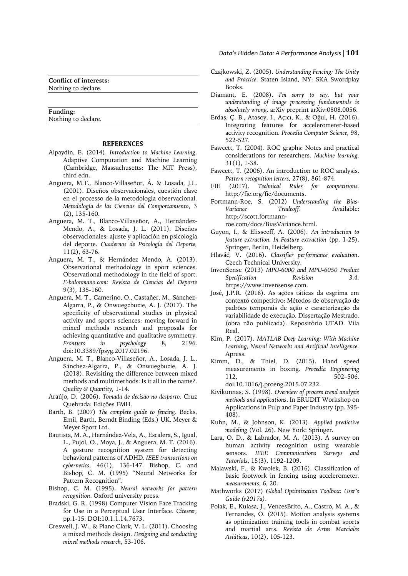**Conflict of interests:** Nothing to declare.

#### **Funding:** Nothing to declare.

### **REFERENCES**

- Alpaydin, E. (2014). *Introduction to Machine Learning*. Adaptive Computation and Machine Learning (Cambridge, Massachusetts: The MIT Press), third edn.
- Anguera, M.T., Blanco-Villaseñor, Á. & Losada, J.L. (2001). Diseños observacionales, cuestión clave en el processo de la metodologia observacional. *Metodología de las Ciencias del Comportamiento*, 3 (2), 135-160.
- Anguera, M. T., Blanco-Villaseñor, A., Hernández-Mendo, A., & Losada, J. L. (2011). Diseños observacionales: ajuste y aplicación en psicología del deporte. *Cuadernos de Psicología del Deporte,* 11(2), 63-76.
- Anguera, M. T., & Hernández Mendo, A. (2013). Observational methodology in sport sciences. Observational methodology in the field of sport. *E-balonmano.com: Revista de Ciencias del Deporte*  9(3), 135-160.
- Anguera, M. T., Camerino, O., Castañer, M., Sánchez-Algarra, P., & Onwuegzbuzie, A. J. (2017). The specificity of observational studies in physical activity and sports sciences: moving forward in mixed methods research and proposals for achieving quantitative and qualitative symmetry. *Frontiers in psychology* 8, 2196. doi:10.3389/fpsyg.2017.02196.
- Anguera, M. T., Blanco-Villaseñor, A., Losada, J. L., Sánchez-Algarra, P., & Onwuegbuzie, A. J. (2018). Revisiting the difference between mixed methods and multimethods: Is it all in the name?. *Quality & Quantity*, 1-14.
- Araújo, D. (2006). *Tomada de decisão no desporto*. Cruz Quebrada: Edições FMH.
- Barth, B. (2007) *The complete guide to fencing*. Becks, Emil, Barth, Berndt Binding (Eds.) UK. Meyer & Meyer Sport Ltd.
- Bautista, M. A., Hernández-Vela, A., Escalera, S., Igual, L., Pujol, O., Moya, J., & Anguera, M. T. (2016). A gesture recognition system for detecting behavioral patterns of ADHD. *IEEE transactions on cybernetics*, 46(1), 136-147. Bishop, C. and Bishop, C. M. (1995) "Neural Networks for Pattern Recognition".
- Bishop, C. M. (1995). *Neural networks for pattern recognition*. Oxford university press.
- Bradski, G. R. (1998) Computer Vision Face Tracking for Use in a Perceptual User Interface. *Citeseer,* pp.1-15. DOI:10.1.1.14.7673.
- Creswell, J. W., & Plano Clark, V. L. (2011). Choosing a mixed methods design. *Designing and conducting mixed methods research*, 53-106.

### *Data's Hidden Data: A Performance Analysis |* **101**

- Czajkowski, Z. (2005). *Understanding Fencing: The Unity and Practice*. Staten Island, NY: SKA Swordplay Books.
- Diamant, E. (2008). *I'm sorry to say, but your understanding of image processing fundamentals is absolutely wrong*. arXiv preprint arXiv:0808.0056.
- Erdaş, Ç. B., Atasoy, I., Açıcı, K., & Oğul, H. (2016). Integrating features for accelerometer-based activity recognition. *Procedia Computer Science,* 98, 522-527.
- Fawcett, T. (2004). ROC graphs: Notes and practical considerations for researchers. *Machine learning,* 31(1), 1-38.
- Fawcett, T. (2006). An introduction to ROC analysis. *Pattern recognition letters,* 27(8), 861-874.
- FIE (2017). *Technical Rules for competitions.* http://fie.org/fie/documents.
- Fortmann-Roe, S. (2012) *Understanding the Bias-Variance Tradeoff*. Available: http://scott.fortmannroe.com/docs/BiasVariance.html.
- Guyon, I., & Elisseeff, A. (2006). *An introduction to feature extraction. In Feature extraction* (pp. 1-25). Springer, Berlin, Heidelberg.
- Hlaváč, V. (2016). *Classifier performance evaluation*. Czech Technical University.
- InvenSense (2013) *MPU-6000 and MPU-6050 Product Specification Revision 3.4.* https://www.invensense.com.
- José, J.P.R. (2018). As ações táticas da esgrima em contexto competitivo: Métodos de observação de padrões temporais de ação e caracterização da variabilidade de execução. Dissertação Mestrado. (obra não publicada). Repositório UTAD. Vila Real.
- Kim, P. (2017). *MATLAB Deep Learning: With Machine Learning, Neural Networks and Artificial Intelligence.* Apress.
- Kimm, D., & Thiel, D. (2015). Hand speed measurements in boxing. *Procedia Engineering* 112, 502–506. doi:10.1016/j.proeng.2015.07.232.
- Kivikunnas, S. (1998). *Overview of process trend analysis methods and applications*. In ERUDIT Workshop on Applications in Pulp and Paper Industry (pp. 395- 408).
- Kuhn, M., & Johnson, K. (2013). *Applied predictive modeling* (Vol. 26). New York: Springer.
- Lara, O. D., & Labrador, M. A. (2013). A survey on human activity recognition using wearable sensors. *IEEE Communications Surveys and Tutorials*, 15(3), 1192-1209.
- Malawski, F., & Kwolek, B. (2016). Classification of basic footwork in fencing using accelerometer. *measurements*, 6, 20.
- Mathworks (2017) *Global Optimization Toolbox: User's Guide (r2017a)*.
- Polak, E., Kulasa, J., VencesBrito, A., Castro, M. A., & Fernandes, O. (2015). Motion analysis systems as optimization training tools in combat sports and martial arts. *Revista de Artes Marciales Asiáticas*, 10(2), 105-123.